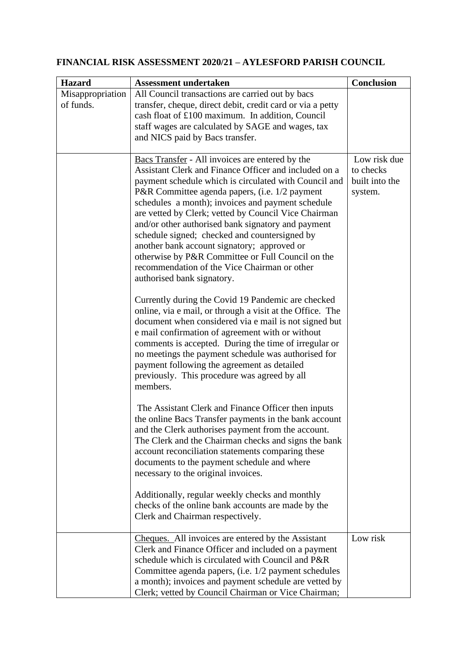## **FINANCIAL RISK ASSESSMENT 2020/21 – AYLESFORD PARISH COUNCIL**

| <b>Hazard</b>                 | <b>Assessment undertaken</b>                                                                                                                                                                                                                                                                                                                                                                                                                                                                                                                                                                                              | <b>Conclusion</b>                                      |
|-------------------------------|---------------------------------------------------------------------------------------------------------------------------------------------------------------------------------------------------------------------------------------------------------------------------------------------------------------------------------------------------------------------------------------------------------------------------------------------------------------------------------------------------------------------------------------------------------------------------------------------------------------------------|--------------------------------------------------------|
| Misappropriation<br>of funds. | All Council transactions are carried out by bacs<br>transfer, cheque, direct debit, credit card or via a petty<br>cash float of £100 maximum. In addition, Council<br>staff wages are calculated by SAGE and wages, tax<br>and NICS paid by Bacs transfer.                                                                                                                                                                                                                                                                                                                                                                |                                                        |
|                               | Bacs Transfer - All invoices are entered by the<br>Assistant Clerk and Finance Officer and included on a<br>payment schedule which is circulated with Council and<br>P&R Committee agenda papers, (i.e. 1/2 payment<br>schedules a month); invoices and payment schedule<br>are vetted by Clerk; vetted by Council Vice Chairman<br>and/or other authorised bank signatory and payment<br>schedule signed; checked and countersigned by<br>another bank account signatory; approved or<br>otherwise by P&R Committee or Full Council on the<br>recommendation of the Vice Chairman or other<br>authorised bank signatory. | Low risk due<br>to checks<br>built into the<br>system. |
|                               | Currently during the Covid 19 Pandemic are checked<br>online, via e mail, or through a visit at the Office. The<br>document when considered via e mail is not signed but<br>e mail confirmation of agreement with or without<br>comments is accepted. During the time of irregular or<br>no meetings the payment schedule was authorised for<br>payment following the agreement as detailed<br>previously. This procedure was agreed by all<br>members.                                                                                                                                                                   |                                                        |
|                               | The Assistant Clerk and Finance Officer then inputs<br>the online Bacs Transfer payments in the bank account<br>and the Clerk authorises payment from the account.<br>The Clerk and the Chairman checks and signs the bank<br>account reconciliation statements comparing these<br>documents to the payment schedule and where<br>necessary to the original invoices.<br>Additionally, regular weekly checks and monthly                                                                                                                                                                                                  |                                                        |
|                               | checks of the online bank accounts are made by the<br>Clerk and Chairman respectively.                                                                                                                                                                                                                                                                                                                                                                                                                                                                                                                                    |                                                        |
|                               | Cheques. All invoices are entered by the Assistant<br>Clerk and Finance Officer and included on a payment<br>schedule which is circulated with Council and P&R<br>Committee agenda papers, (i.e. 1/2 payment schedules<br>a month); invoices and payment schedule are vetted by<br>Clerk; vetted by Council Chairman or Vice Chairman;                                                                                                                                                                                                                                                                                    | Low risk                                               |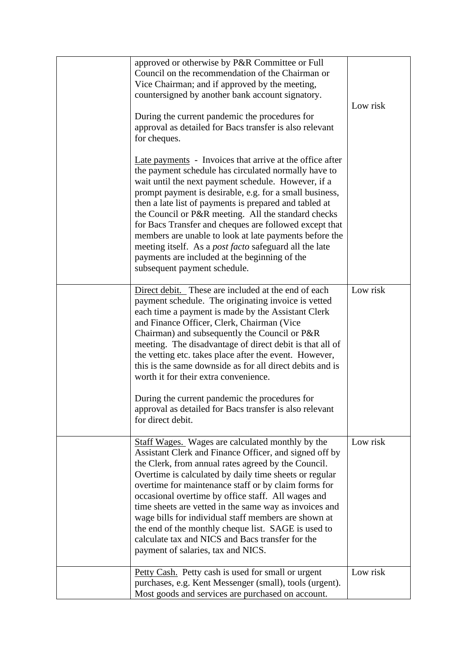| approved or otherwise by P&R Committee or Full<br>Council on the recommendation of the Chairman or<br>Vice Chairman; and if approved by the meeting,<br>countersigned by another bank account signatory.<br>During the current pandemic the procedures for<br>approval as detailed for Bacs transfer is also relevant<br>for cheques.<br>Late payments - Invoices that arrive at the office after<br>the payment schedule has circulated normally have to<br>wait until the next payment schedule. However, if a<br>prompt payment is desirable, e.g. for a small business,<br>then a late list of payments is prepared and tabled at<br>the Council or P&R meeting. All the standard checks<br>for Bacs Transfer and cheques are followed except that<br>members are unable to look at late payments before the<br>meeting itself. As a post facto safeguard all the late<br>payments are included at the beginning of the<br>subsequent payment schedule. | Low risk |
|-------------------------------------------------------------------------------------------------------------------------------------------------------------------------------------------------------------------------------------------------------------------------------------------------------------------------------------------------------------------------------------------------------------------------------------------------------------------------------------------------------------------------------------------------------------------------------------------------------------------------------------------------------------------------------------------------------------------------------------------------------------------------------------------------------------------------------------------------------------------------------------------------------------------------------------------------------------|----------|
| Direct debit. These are included at the end of each<br>payment schedule. The originating invoice is vetted<br>each time a payment is made by the Assistant Clerk<br>and Finance Officer, Clerk, Chairman (Vice)<br>Chairman) and subsequently the Council or P&R<br>meeting. The disadvantage of direct debit is that all of<br>the vetting etc. takes place after the event. However,<br>this is the same downside as for all direct debits and is<br>worth it for their extra convenience.<br>During the current pandemic the procedures for<br>approval as detailed for Bacs transfer is also relevant<br>for direct debit.                                                                                                                                                                                                                                                                                                                              | Low risk |
| <b>Staff Wages.</b> Wages are calculated monthly by the<br>Assistant Clerk and Finance Officer, and signed off by<br>the Clerk, from annual rates agreed by the Council.<br>Overtime is calculated by daily time sheets or regular<br>overtime for maintenance staff or by claim forms for<br>occasional overtime by office staff. All wages and<br>time sheets are vetted in the same way as invoices and<br>wage bills for individual staff members are shown at<br>the end of the monthly cheque list. SAGE is used to<br>calculate tax and NICS and Bacs transfer for the<br>payment of salaries, tax and NICS.                                                                                                                                                                                                                                                                                                                                         | Low risk |
| Petty Cash. Petty cash is used for small or urgent<br>purchases, e.g. Kent Messenger (small), tools (urgent).<br>Most goods and services are purchased on account.                                                                                                                                                                                                                                                                                                                                                                                                                                                                                                                                                                                                                                                                                                                                                                                          | Low risk |